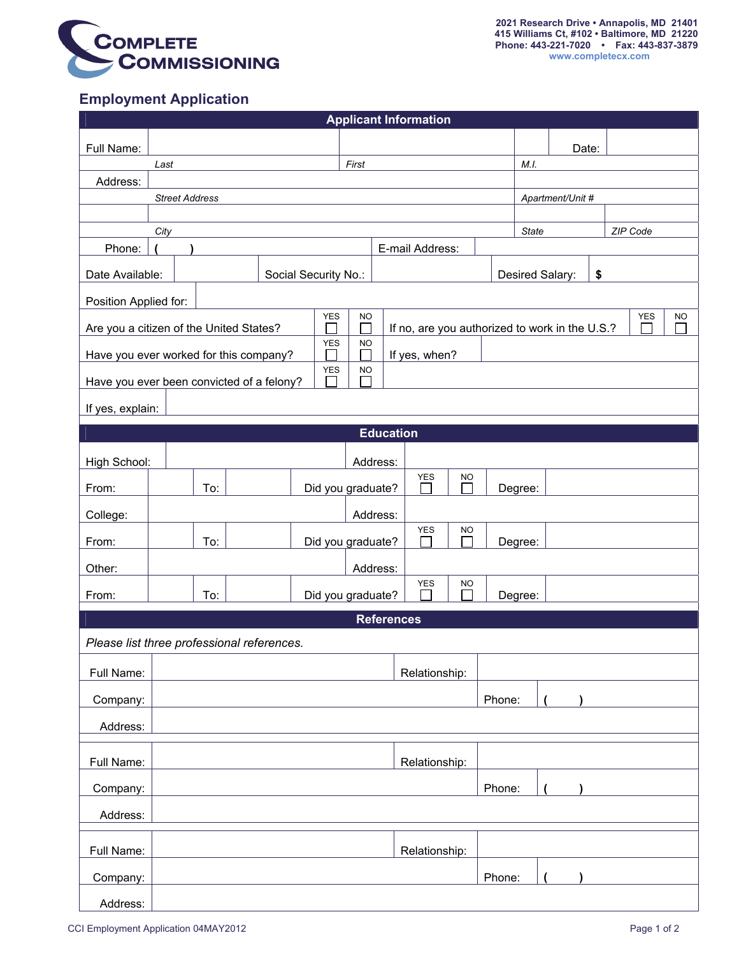

## **Employment Application**

| <b>Applicant Information</b>                                                                                                                           |      |       |  |                   |                 |               |                          |        |         |                       |  |  |  |  |
|--------------------------------------------------------------------------------------------------------------------------------------------------------|------|-------|--|-------------------|-----------------|---------------|--------------------------|--------|---------|-----------------------|--|--|--|--|
| Full Name:                                                                                                                                             |      |       |  |                   |                 |               |                          |        |         | Date:                 |  |  |  |  |
|                                                                                                                                                        | Last | First |  |                   |                 |               |                          |        |         |                       |  |  |  |  |
| Address:                                                                                                                                               |      |       |  |                   |                 |               |                          |        |         |                       |  |  |  |  |
| <b>Street Address</b>                                                                                                                                  |      |       |  |                   |                 |               |                          |        |         | Apartment/Unit #      |  |  |  |  |
|                                                                                                                                                        |      |       |  |                   |                 |               |                          |        |         |                       |  |  |  |  |
|                                                                                                                                                        |      |       |  |                   |                 |               | ZIP Code<br><b>State</b> |        |         |                       |  |  |  |  |
| Phone:                                                                                                                                                 |      |       |  |                   | E-mail Address: |               |                          |        |         |                       |  |  |  |  |
| Date Available:<br>Social Security No.:                                                                                                                |      |       |  |                   |                 |               |                          |        |         | \$<br>Desired Salary: |  |  |  |  |
| Position Applied for:                                                                                                                                  |      |       |  |                   |                 |               |                          |        |         |                       |  |  |  |  |
| <b>YES</b><br><b>YES</b><br><b>NO</b><br><b>NO</b><br>st.<br>If no, are you authorized to work in the U.S.?<br>Are you a citizen of the United States? |      |       |  |                   |                 |               |                          |        |         |                       |  |  |  |  |
| <b>YES</b><br><b>NO</b><br>Have you ever worked for this company?<br>If yes, when?                                                                     |      |       |  |                   |                 |               |                          |        |         |                       |  |  |  |  |
| <b>YES</b><br><b>NO</b><br>Have you ever been convicted of a felony?                                                                                   |      |       |  |                   |                 |               |                          |        |         |                       |  |  |  |  |
| If yes, explain:                                                                                                                                       |      |       |  |                   |                 |               |                          |        |         |                       |  |  |  |  |
| <b>Education</b>                                                                                                                                       |      |       |  |                   |                 |               |                          |        |         |                       |  |  |  |  |
| High School:                                                                                                                                           |      |       |  |                   | Address:        |               |                          |        |         |                       |  |  |  |  |
| From:                                                                                                                                                  |      | To:   |  | Did you graduate? |                 | YES           | <b>NO</b>                |        | Degree: |                       |  |  |  |  |
| College:                                                                                                                                               |      |       |  |                   | Address:        |               |                          |        |         |                       |  |  |  |  |
| From:                                                                                                                                                  |      | To:   |  | Did you graduate? |                 | <b>YES</b>    | <b>NO</b>                |        | Degree: |                       |  |  |  |  |
| Other:                                                                                                                                                 |      |       |  |                   | Address:        |               |                          |        |         |                       |  |  |  |  |
| From:                                                                                                                                                  |      | To:   |  | Did you graduate? |                 | YES           | <b>NO</b>                |        | Degree: |                       |  |  |  |  |
| <b>References</b>                                                                                                                                      |      |       |  |                   |                 |               |                          |        |         |                       |  |  |  |  |
| Please list three professional references.                                                                                                             |      |       |  |                   |                 |               |                          |        |         |                       |  |  |  |  |
| Full Name:                                                                                                                                             |      |       |  |                   |                 | Relationship: |                          |        |         |                       |  |  |  |  |
| Company:                                                                                                                                               |      |       |  |                   |                 | Phone:        |                          |        |         |                       |  |  |  |  |
| Address:                                                                                                                                               |      |       |  |                   |                 |               |                          |        |         |                       |  |  |  |  |
| Full Name:                                                                                                                                             |      |       |  |                   |                 | Relationship: |                          |        |         |                       |  |  |  |  |
| Company:                                                                                                                                               |      |       |  |                   |                 |               |                          | Phone: |         |                       |  |  |  |  |
| Address:                                                                                                                                               |      |       |  |                   |                 |               |                          |        |         |                       |  |  |  |  |
| Full Name:                                                                                                                                             |      |       |  |                   |                 | Relationship: |                          |        |         |                       |  |  |  |  |
| Company:                                                                                                                                               |      |       |  |                   |                 |               |                          | Phone: |         |                       |  |  |  |  |
| Address:                                                                                                                                               |      |       |  |                   |                 |               |                          |        |         |                       |  |  |  |  |